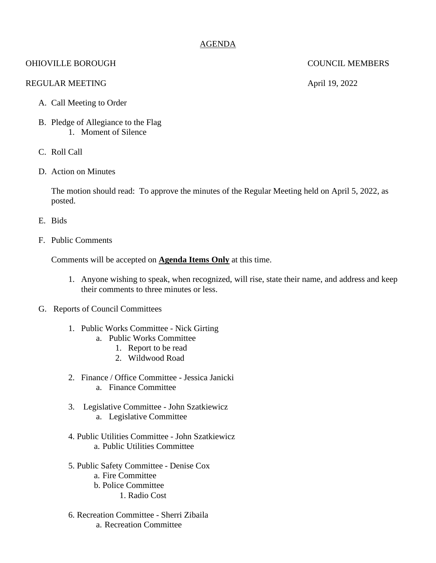## AGENDA

# OHIOVILLE BOROUGH COUNCIL MEMBERS

### REGULAR MEETING April 19, 2022

- A. Call Meeting to Order
- B. Pledge of Allegiance to the Flag 1. Moment of Silence
- C. Roll Call
- D. Action on Minutes

The motion should read: To approve the minutes of the Regular Meeting held on April 5, 2022, as posted.

- E. Bids
- F. Public Comments

Comments will be accepted on **Agenda Items Only** at this time.

- 1. Anyone wishing to speak, when recognized, will rise, state their name, and address and keep their comments to three minutes or less.
- G. Reports of Council Committees
	- 1. Public Works Committee Nick Girting
		- a. Public Works Committee
			- 1. Report to be read
			- 2. Wildwood Road
	- 2. Finance / Office Committee Jessica Janicki
		- a. Finance Committee
	- 3. Legislative Committee John Szatkiewicz a. Legislative Committee
	- 4. Public Utilities Committee John Szatkiewicz a. Public Utilities Committee
	- 5. Public Safety Committee Denise Cox
		- a. Fire Committee
		- b. Police Committee
			- 1. Radio Cost
	- 6. Recreation Committee Sherri Zibaila a. Recreation Committee